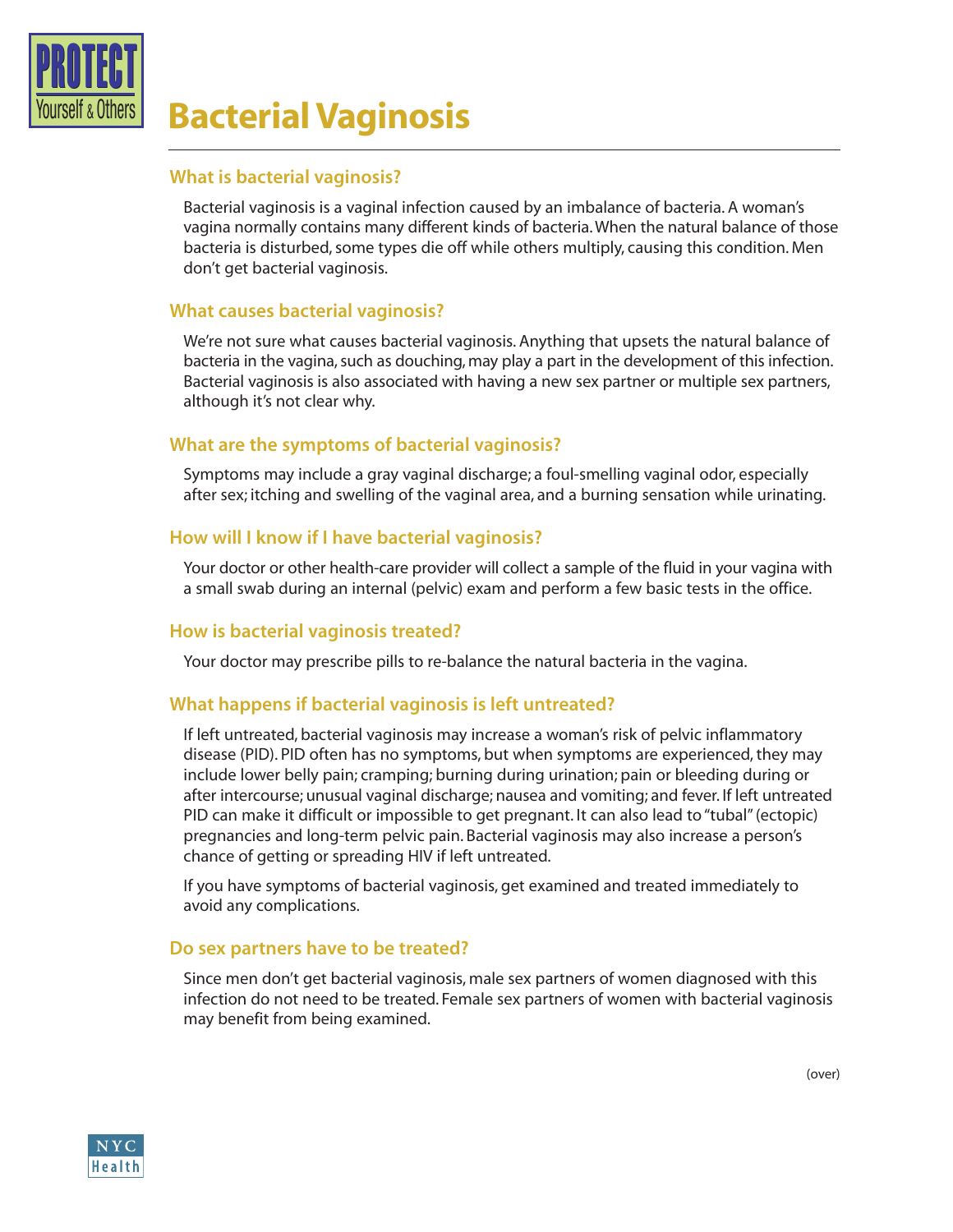

# **<u>Aurself & Others</u> Bacterial Vaginosis**

## **What is bacterial vaginosis?**

Bacterial vaginosis is a vaginal infection caused by an imbalance of bacteria. A woman's vagina normally contains many different kinds of bacteria. When the natural balance of those bacteria is disturbed, some types die off while others multiply, causing this condition. Men don't get bacterial vaginosis.

## **What causes bacterial vaginosis?**

We're not sure what causes bacterial vaginosis. Anything that upsets the natural balance of bacteria in the vagina, such as douching, may play a part in the development of this infection. Bacterial vaginosis is also associated with having a new sex partner or multiple sex partners, although it's not clear why.

## **What are the symptoms of bacterial vaginosis?**

Symptoms may include a gray vaginal discharge; a foul-smelling vaginal odor, especially after sex; itching and swelling of the vaginal area, and a burning sensation while urinating.

## **How will I know if I have bacterial vaginosis?**

Your doctor or other health-care provider will collect a sample of the fluid in your vagina with a small swab during an internal (pelvic) exam and perform a few basic tests in the office.

## **How is bacterial vaginosis treated?**

Your doctor may prescribe pills to re-balance the natural bacteria in the vagina.

## **What happens if bacterial vaginosis is left untreated?**

If left untreated, bacterial vaginosis may increase a woman's risk of pelvic inflammatory disease (PID). PID often has no symptoms, but when symptoms are experienced, they may include lower belly pain; cramping; burning during urination; pain or bleeding during or after intercourse; unusual vaginal discharge; nausea and vomiting; and fever. If left untreated PID can make it difficult or impossible to get pregnant. It can also lead to "tubal" (ectopic) pregnancies and long-term pelvic pain. Bacterial vaginosis may also increase a person's chance of getting or spreading HIV if left untreated.

If you have symptoms of bacterial vaginosis, get examined and treated immediately to avoid any complications.

#### **Do sex partners have to be treated?**

Since men don't get bacterial vaginosis, male sex partners of women diagnosed with this infection do not need to be treated. Female sex partners of women with bacterial vaginosis may benefit from being examined.